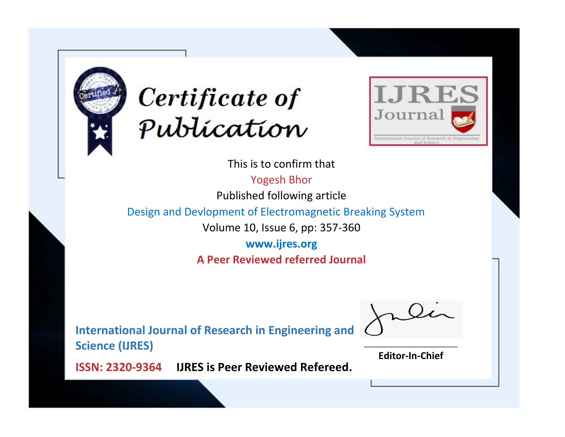



This is to confirm that

Yogesh Bhor

Published following article

Design and Devlopment of Electromagnetic Breaking System

Volume 10, Issue 6, pp: 357-360

**www.ijres.org A Peer Reviewed referred Journal**

**International Journal of Research in Engineering and Science (IJRES)**

\_\_\_\_\_\_\_\_\_\_\_\_\_\_\_\_\_\_\_\_\_\_\_\_ **Editor-In-Chief**

**Journal.**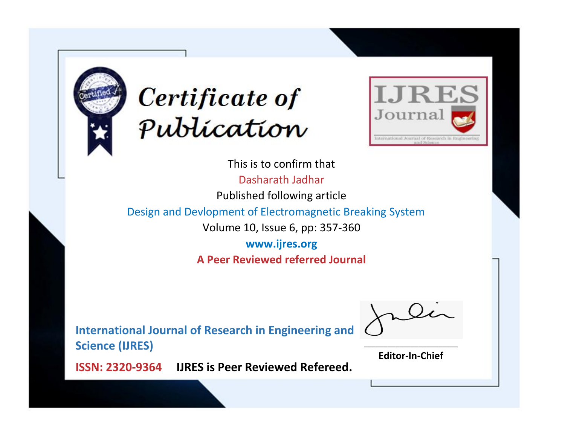



This is to confirm that Dasharath Jadhar Published following article Design and Devlopment of Electromagnetic Breaking System Volume 10, Issue 6, pp: 357-360 **www.ijres.org A Peer Reviewed referred Journal**

**International Journal of Research in Engineering and Science (IJRES)**

\_\_\_\_\_\_\_\_\_\_\_\_\_\_\_\_\_\_\_\_\_\_\_\_ **Editor-In-Chief**

**Journal.**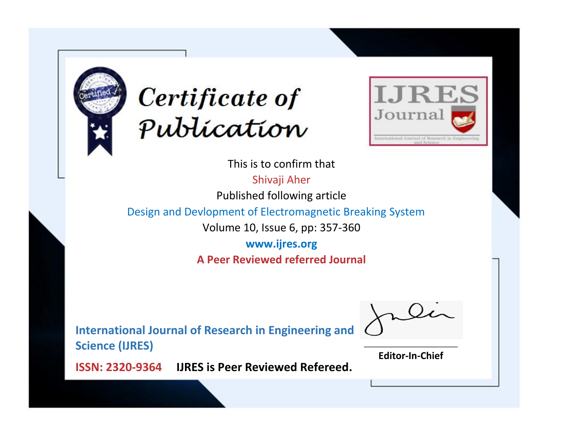



This is to confirm that

Shivaji Aher

Published following article

Design and Devlopment of Electromagnetic Breaking System

Volume 10, Issue 6, pp: 357-360

**www.ijres.org A Peer Reviewed referred Journal**

**International Journal of Research in Engineering and Science (IJRES)**

\_\_\_\_\_\_\_\_\_\_\_\_\_\_\_\_\_\_\_\_\_\_\_\_ **Editor-In-Chief**

**Journal.**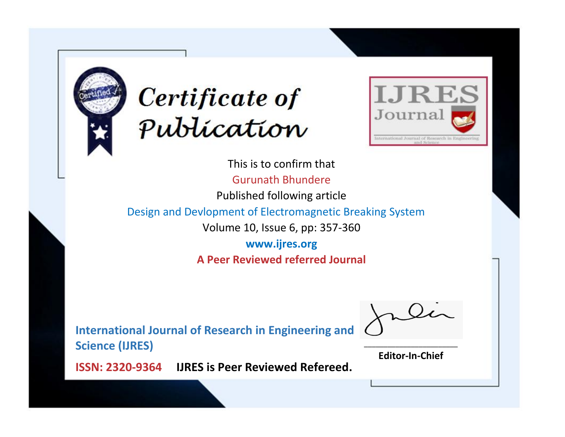



This is to confirm that Gurunath Bhundere Published following article Design and Devlopment of Electromagnetic Breaking System Volume 10, Issue 6, pp: 357-360 **www.ijres.org A Peer Reviewed referred Journal**

**International Journal of Research in Engineering and Science (IJRES)**

\_\_\_\_\_\_\_\_\_\_\_\_\_\_\_\_\_\_\_\_\_\_\_\_ **Editor-In-Chief**

**Journal.**